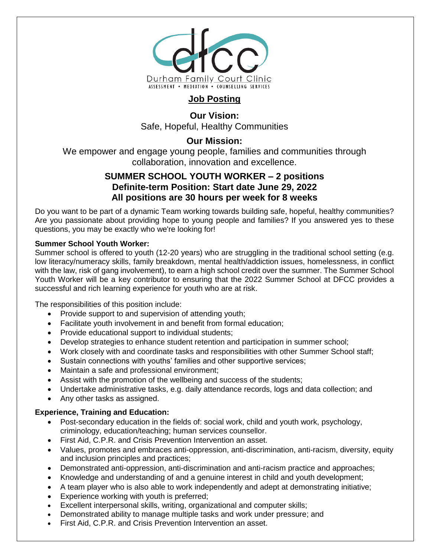

# **Job Posting**

**Our Vision:** Safe, Hopeful, Healthy Communities

# **Our Mission:**

We empower and engage young people, families and communities through collaboration, innovation and excellence.

## **SUMMER SCHOOL YOUTH WORKER – 2 positions Definite-term Position: Start date June 29, 2022 All positions are 30 hours per week for 8 weeks**

Do you want to be part of a dynamic Team working towards building safe, hopeful, healthy communities? Are you passionate about providing hope to young people and families? If you answered yes to these questions, you may be exactly who we're looking for!

#### **Summer School Youth Worker:**

Summer school is offered to youth (12-20 years) who are struggling in the traditional school setting (e.g. low literacy/numeracy skills, family breakdown, mental health/addiction issues, homelessness, in conflict with the law, risk of gang involvement), to earn a high school credit over the summer. The Summer School Youth Worker will be a key contributor to ensuring that the 2022 Summer School at DFCC provides a successful and rich learning experience for youth who are at risk.

The responsibilities of this position include:

- Provide support to and supervision of attending youth;
- Facilitate youth involvement in and benefit from formal education;
- Provide educational support to individual students;
- Develop strategies to enhance student retention and participation in summer school;
- Work closely with and coordinate tasks and responsibilities with other Summer School staff;
- Sustain connections with youths' families and other supportive services;
- Maintain a safe and professional environment;
- Assist with the promotion of the wellbeing and success of the students;
- Undertake administrative tasks, e.g. daily attendance records, logs and data collection; and
- Any other tasks as assigned.

### **Experience, Training and Education:**

- Post-secondary education in the fields of: social work, child and youth work, psychology, criminology, education/teaching; human services counsellor.
- First Aid, C.P.R. and Crisis Prevention Intervention an asset.
- Values, promotes and embraces anti-oppression, anti-discrimination, anti-racism, diversity, equity and inclusion principles and practices;
- Demonstrated anti-oppression, anti-discrimination and anti-racism practice and approaches;
- Knowledge and understanding of and a genuine interest in child and youth development;
- A team player who is also able to work independently and adept at demonstrating initiative;
- **Experience working with youth is preferred;**
- Excellent interpersonal skills, writing, organizational and computer skills;
- Demonstrated ability to manage multiple tasks and work under pressure; and
- First Aid, C.P.R. and Crisis Prevention Intervention an asset.